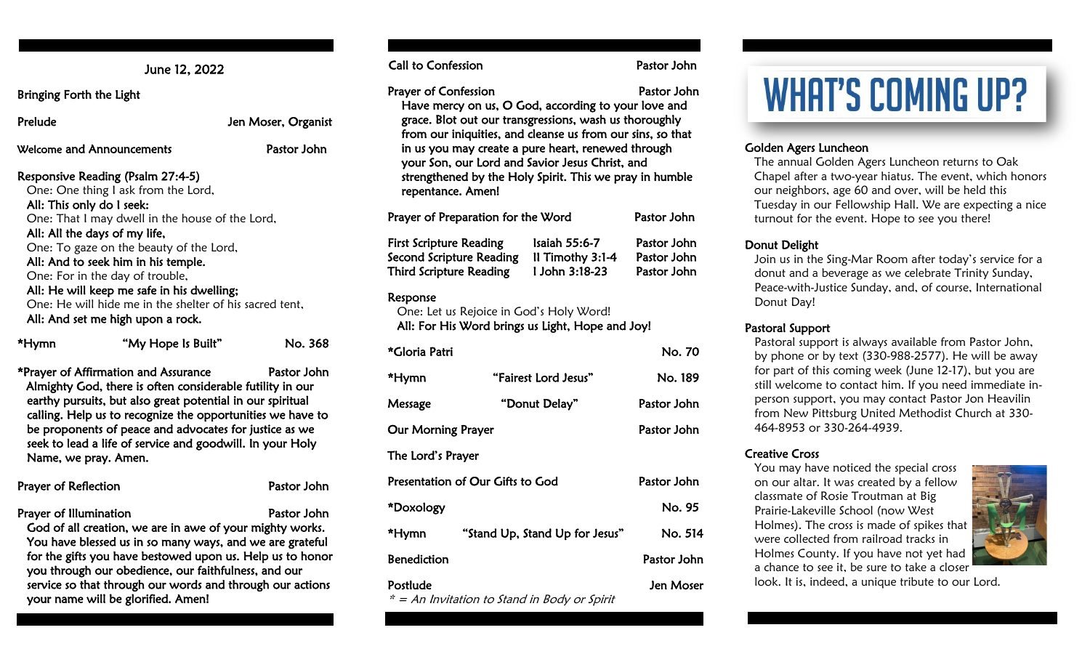June 12, 2022

Bringing Forth the Light

Prelude Jen Moser, Organist

Welcome and Announcements **Pastor John** 

#### Responsive Reading (Psalm 27:4-5)

 One: One thing I ask from the Lord, All: This only do I seek: One: That I may dwell in the house of the Lord, All: All the days of my life, One: To gaze on the beauty of the Lord, All: And to seek him in his temple. One: For in the day of trouble, All: He will keep me safe in his dwelling; One: He will hide me in the shelter of his sacred tent,

All: And set me high upon a rock.

| *Hymn | "My Hope Is Built" | No. 368 |
|-------|--------------------|---------|
|       |                    |         |

\*Prayer of Affirmation and Assurance Pastor John Almighty God, there is often considerable futility in our earthy pursuits, but also great potential in our spiritual calling. Help us to recognize the opportunities we have to be proponents of peace and advocates for justice as we seek to lead a life of service and goodwill. In your Holy Name, we pray. Amen.

| Prayer of Reflection | Pastor John |
|----------------------|-------------|
|                      |             |

Prayer of Illumination **Prayer of Illumination** God of all creation, we are in awe of your mighty works. You have blessed us in so many ways, and we are grateful for the gifts you have bestowed upon us. Help us to honor you through our obedience, our faithfulness, and our service so that through our words and through our actions your name will be glorified. Amen!

Call to Confession **Pastor John** 

Prayer of Confession **Pastor John** 

Have mercy on us, O God, according to your love and grace. Blot out our transgressions, wash us thoroughly from our iniquities, and cleanse us from our sins, so that in us you may create a pure heart, renewed through your Son, our Lord and Savior Jesus Christ, and strengthened by the Holy Spirit. This we pray in humble repentance. Amen!

| Prayer of Preparation for the Word |                  | Pastor John |
|------------------------------------|------------------|-------------|
| <b>First Scripture Reading</b>     | Isaiah 55:6-7    | Pastor John |
| Second Scripture Reading           | Il Timothy 3:1-4 | Pastor John |
| <b>Third Scripture Reading</b>     | 1 John 3:18-23   | Pastor John |

#### Response

 One: Let us Rejoice in God's Holy Word! All: For His Word brings us Light, Hope and Joy!

| *Gloria Patri                    |                                | No. 70      |
|----------------------------------|--------------------------------|-------------|
| *Hymn                            | "Fairest Lord Jesus"           | No. 189     |
| Message                          | "Donut Delay"                  | Pastor John |
| <b>Our Morning Prayer</b>        |                                | Pastor John |
| The Lord's Prayer                |                                |             |
| Presentation of Our Gifts to God |                                | Pastor John |
| *Doxology                        |                                | No. 95      |
| *Hymn                            | "Stand Up, Stand Up for Jesus" | No. 514     |
| <b>Benediction</b>               |                                | Pastor John |
| Postlude                         | $\blacksquare$                 | Jen Moser   |

\* = An Invitation to Stand in Body or Spirit

# **WHAT'S COMING UP?**

#### Golden Agers Luncheon

The annual Golden Agers Luncheon returns to Oak Chapel after a two-year hiatus. The event, which honors our neighbors, age 60 and over, will be held this Tuesday in our Fellowship Hall. We are expecting a nice turnout for the event. Hope to see you there!

#### Donut Delight

Join us in the Sing-Mar Room after today's service for a donut and a beverage as we celebrate Trinity Sunday, Peace-with-Justice Sunday, and, of course, International Donut Day!

#### Pastoral Support

Pastoral support is always available from Pastor John, by phone or by text (330-988-2577). He will be away for part of this coming week (June 12-17), but you are still welcome to contact him. If you need immediate inperson support, you may contact Pastor Jon Heavilin from New Pittsburg United Methodist Church at 330- 464-8953 or 330-264-4939.

#### Creative Cross

You may have noticed the special cross on our altar. It was created by a fellow classmate of Rosie Troutman at Big Prairie-Lakeville School (now West Holmes). The cross is made of spikes that were collected from railroad tracks in Holmes County. If you have not yet had a chance to see it, be sure to take a closer



look. It is, indeed, a unique tribute to our Lord.